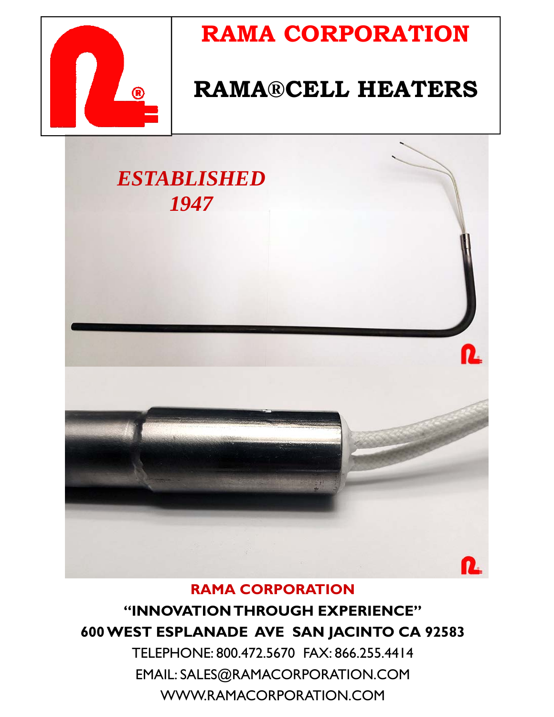

## **RAMA CORPORATION**

## **RAMA®CELL HEATERS**



#### **RAMA CORPORATION "INNOVATION THROUGH EXPERIENCE" 600 WEST ESPLANADE AVE SAN JACINTO CA 92583**

TELEPHONE: 800.472.5670 FAX: 866.255.4414 EMAIL: SALES@RAMACORPORATION.COM WWW.RAMACORPORATION.COM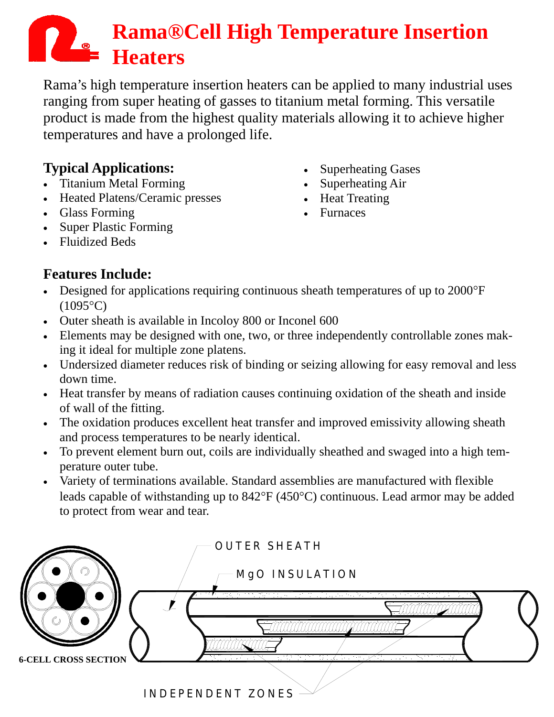# **Rama®Cell High Temperature Insertion Heaters**

Rama's high temperature insertion heaters can be applied to many industrial uses ranging from super heating of gasses to titanium metal forming. This versatile product is made from the highest quality materials allowing it to achieve higher temperatures and have a prolonged life.

#### **Typical Applications:**

- Titanium Metal Forming
- Heated Platens/Ceramic presses
- Glass Forming
- Super Plastic Forming
- Fluidized Beds
- Superheating Gases • Superheating Air
- Heat Treating
- Furnaces

#### **Features Include:**

- Designed for applications requiring continuous sheath temperatures of up to 2000°F  $(1095^{\circ}C)$
- Outer sheath is available in Incoloy 800 or Inconel 600
- Elements may be designed with one, two, or three independently controllable zones making it ideal for multiple zone platens.
- Undersized diameter reduces risk of binding or seizing allowing for easy removal and less down time.
- Heat transfer by means of radiation causes continuing oxidation of the sheath and inside of wall of the fitting.
- The oxidation produces excellent heat transfer and improved emissivity allowing sheath and process temperatures to be nearly identical.
- To prevent element burn out, coils are individually sheathed and swaged into a high temperature outer tube.
- Variety of terminations available. Standard assemblies are manufactured with flexible leads capable of withstanding up to 842°F (450°C) continuous. Lead armor may be added to protect from wear and tear.

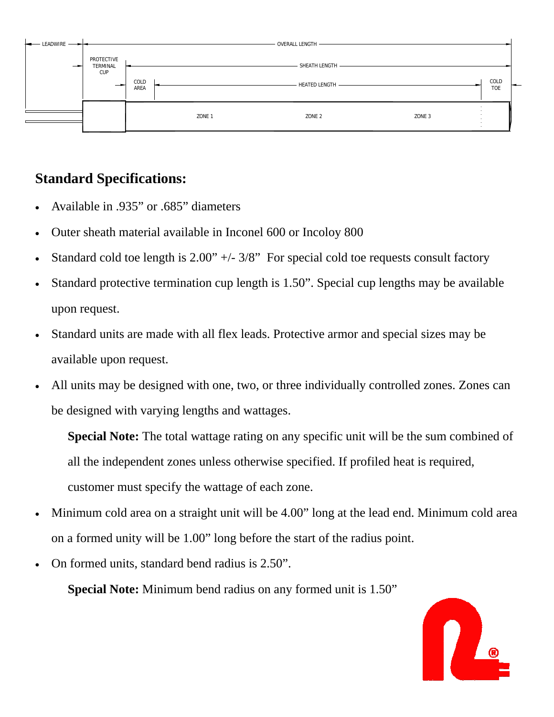

#### **Standard Specifications:**

- Available in .935" or .685" diameters
- Outer sheath material available in Inconel 600 or Incoloy 800
- Standard cold toe length is  $2.00" +/- 3/8"$  For special cold toe requests consult factory
- Standard protective termination cup length is 1.50". Special cup lengths may be available upon request.
- Standard units are made with all flex leads. Protective armor and special sizes may be available upon request.
- All units may be designed with one, two, or three individually controlled zones. Zones can be designed with varying lengths and wattages.

 **Special Note:** The total wattage rating on any specific unit will be the sum combined of all the independent zones unless otherwise specified. If profiled heat is required, customer must specify the wattage of each zone.

- Minimum cold area on a straight unit will be 4.00" long at the lead end. Minimum cold area on a formed unity will be 1.00" long before the start of the radius point.
- On formed units, standard bend radius is 2.50".

**Special Note:** Minimum bend radius on any formed unit is 1.50"

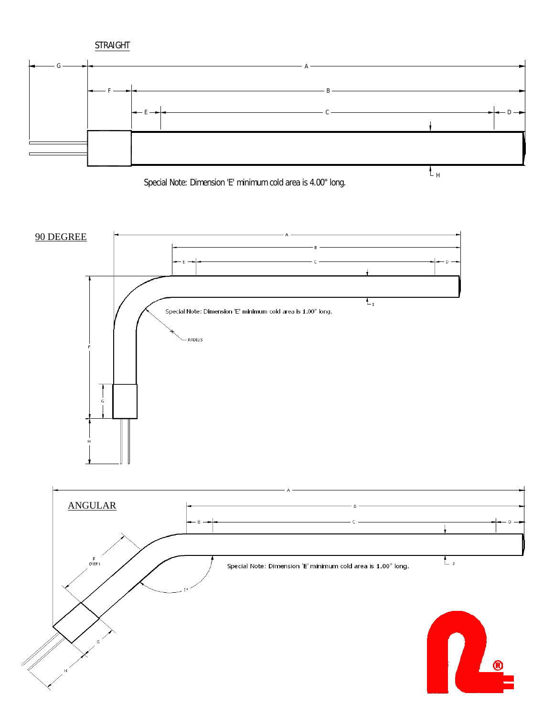







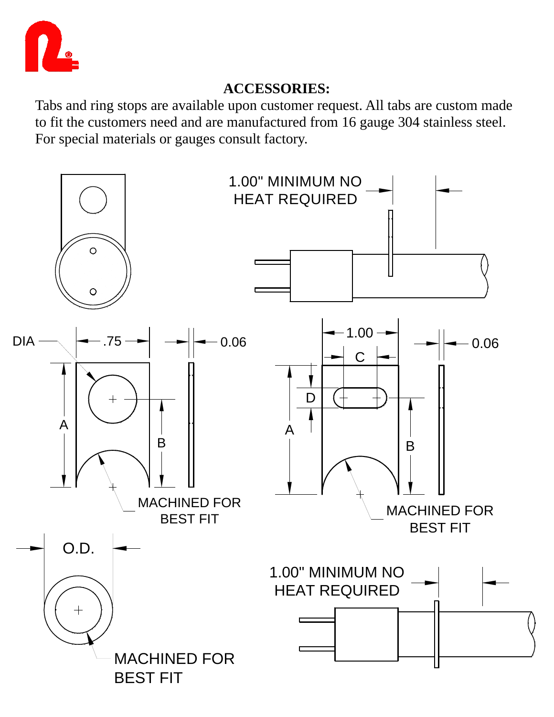

#### **ACCESSORIES:**

Tabs and ring stops are available upon customer request. All tabs are custom made to fit the customers need and are manufactured from 16 gauge 304 stainless steel. For special materials or gauges consult factory.